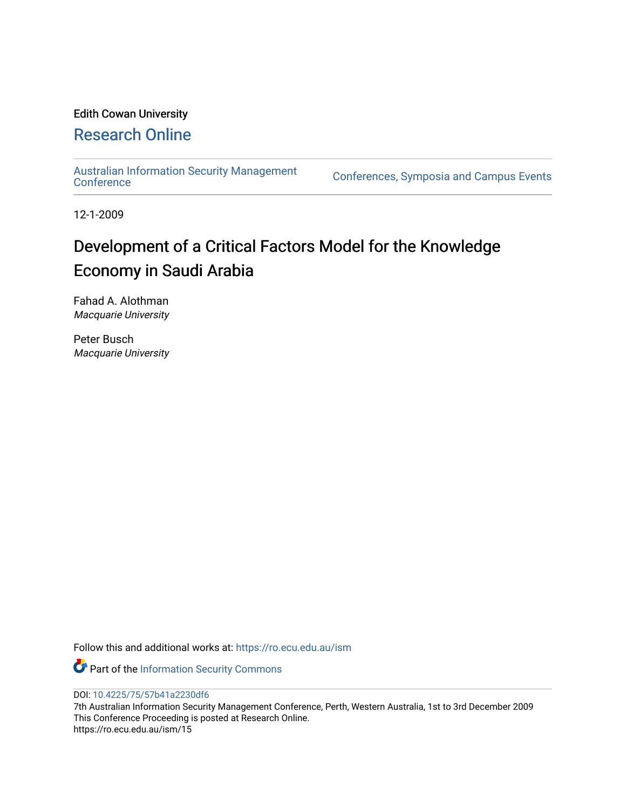## Edith Cowan University

## [Research Online](https://ro.ecu.edu.au/)

[Australian Information Security Management](https://ro.ecu.edu.au/ism) 

[Conference](https://ro.ecu.edu.au/ism)s, Symposia and Campus Events

12-1-2009

# Development of a Critical Factors Model for the Knowledge Economy in Saudi Arabia

Fahad A. Alothman Macquarie University

Peter Busch Macquarie University

Follow this and additional works at: [https://ro.ecu.edu.au/ism](https://ro.ecu.edu.au/ism?utm_source=ro.ecu.edu.au%2Fism%2F15&utm_medium=PDF&utm_campaign=PDFCoverPages) 

Part of the [Information Security Commons](http://network.bepress.com/hgg/discipline/1247?utm_source=ro.ecu.edu.au%2Fism%2F15&utm_medium=PDF&utm_campaign=PDFCoverPages) 

DOI: [10.4225/75/57b41a2230df6](https://doi.org/10.4225/75/57b41a2230df6) 

7th Australian Information Security Management Conference, Perth, Western Australia, 1st to 3rd December 2009 This Conference Proceeding is posted at Research Online. https://ro.ecu.edu.au/ism/15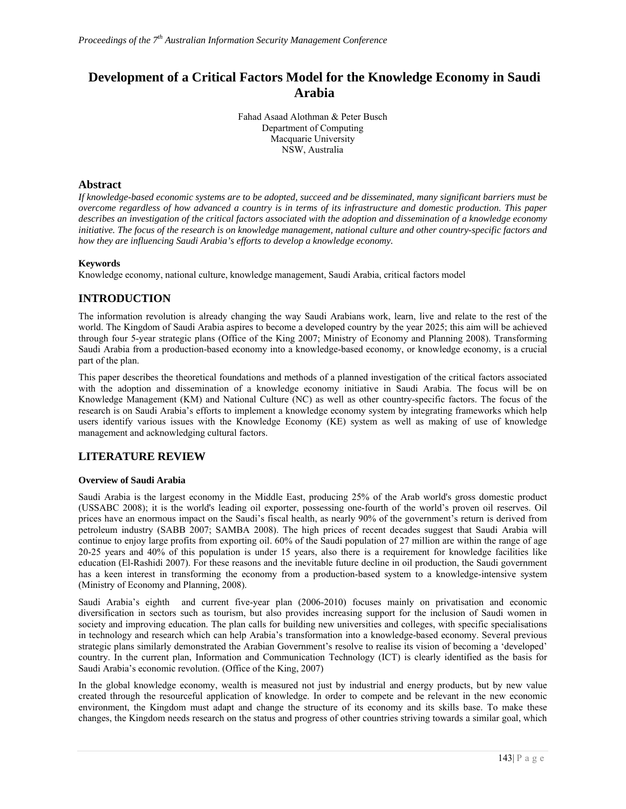## **Development of a Critical Factors Model for the Knowledge Economy in Saudi Arabia**

Fahad Asaad Alothman & Peter Busch Department of Computing Macquarie University NSW, Australia

## **Abstract**

*If knowledge-based economic systems are to be adopted, succeed and be disseminated, many significant barriers must be overcome regardless of how advanced a country is in terms of its infrastructure and domestic production. This paper describes an investigation of the critical factors associated with the adoption and dissemination of a knowledge economy initiative. The focus of the research is on knowledge management, national culture and other country-specific factors and how they are influencing Saudi Arabia's efforts to develop a knowledge economy.* 

## **Keywords**

Knowledge economy, national culture, knowledge management, Saudi Arabia, critical factors model

## **INTRODUCTION**

The information revolution is already changing the way Saudi Arabians work, learn, live and relate to the rest of the world. The Kingdom of Saudi Arabia aspires to become a developed country by the year 2025; this aim will be achieved through four 5-year strategic plans (Office of the King 2007; Ministry of Economy and Planning 2008). Transforming Saudi Arabia from a production-based economy into a knowledge-based economy, or knowledge economy, is a crucial part of the plan.

This paper describes the theoretical foundations and methods of a planned investigation of the critical factors associated with the adoption and dissemination of a knowledge economy initiative in Saudi Arabia. The focus will be on Knowledge Management (KM) and National Culture (NC) as well as other country-specific factors. The focus of the research is on Saudi Arabia's efforts to implement a knowledge economy system by integrating frameworks which help users identify various issues with the Knowledge Economy (KE) system as well as making of use of knowledge management and acknowledging cultural factors.

## **LITERATURE REVIEW**

#### **Overview of Saudi Arabia**

Saudi Arabia is the largest economy in the Middle East, producing 25% of the Arab world's gross domestic product (USSABC 2008); it is the world's leading oil exporter, possessing one-fourth of the world's proven oil reserves. Oil prices have an enormous impact on the Saudi's fiscal health, as nearly 90% of the government's return is derived from petroleum industry (SABB 2007; SAMBA 2008). The high prices of recent decades suggest that Saudi Arabia will continue to enjoy large profits from exporting oil. 60% of the Saudi population of 27 million are within the range of age 20-25 years and 40% of this population is under 15 years, also there is a requirement for knowledge facilities like education (El-Rashidi 2007). For these reasons and the inevitable future decline in oil production, the Saudi government has a keen interest in transforming the economy from a production-based system to a knowledge-intensive system (Ministry of Economy and Planning, 2008).

Saudi Arabia's eighth and current five-year plan (2006-2010) focuses mainly on privatisation and economic diversification in sectors such as tourism, but also provides increasing support for the inclusion of Saudi women in society and improving education. The plan calls for building new universities and colleges, with specific specialisations in technology and research which can help Arabia's transformation into a knowledge-based economy. Several previous strategic plans similarly demonstrated the Arabian Government's resolve to realise its vision of becoming a 'developed' country. In the current plan, Information and Communication Technology (ICT) is clearly identified as the basis for Saudi Arabia's economic revolution. (Office of the King, 2007)

In the global knowledge economy, wealth is measured not just by industrial and energy products, but by new value created through the resourceful application of knowledge. In order to compete and be relevant in the new economic environment, the Kingdom must adapt and change the structure of its economy and its skills base. To make these changes, the Kingdom needs research on the status and progress of other countries striving towards a similar goal, which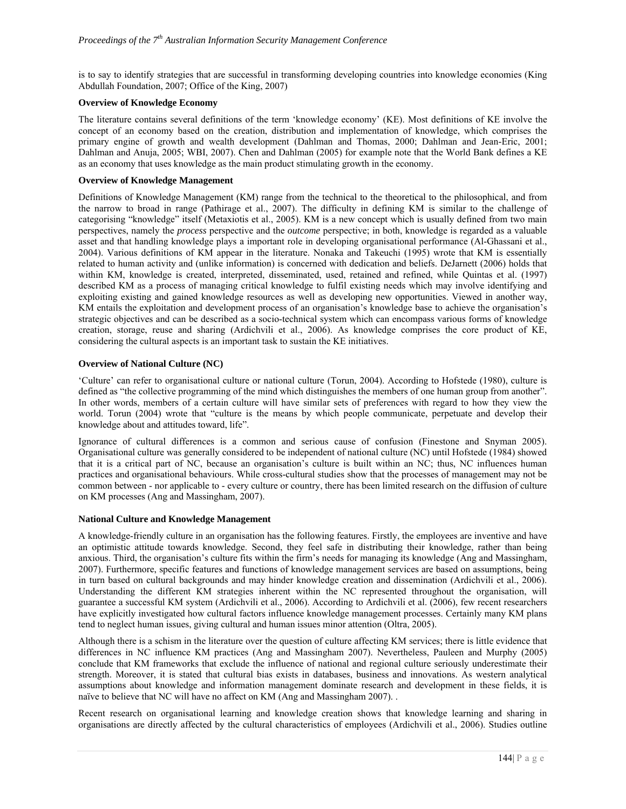is to say to identify strategies that are successful in transforming developing countries into knowledge economies (King Abdullah Foundation, 2007; Office of the King, 2007)

#### **Overview of Knowledge Economy**

The literature contains several definitions of the term 'knowledge economy' (KE). Most definitions of KE involve the concept of an economy based on the creation, distribution and implementation of knowledge, which comprises the primary engine of growth and wealth development (Dahlman and Thomas, 2000; Dahlman and Jean-Eric, 2001; Dahlman and Anuja, 2005; WBI, 2007). Chen and Dahlman (2005) for example note that the World Bank defines a KE as an economy that uses knowledge as the main product stimulating growth in the economy.

#### **Overview of Knowledge Management**

Definitions of Knowledge Management (KM) range from the technical to the theoretical to the philosophical, and from the narrow to broad in range (Pathirage et al., 2007). The difficulty in defining KM is similar to the challenge of categorising "knowledge" itself (Metaxiotis et al., 2005). KM is a new concept which is usually defined from two main perspectives, namely the *process* perspective and the *outcome* perspective; in both, knowledge is regarded as a valuable asset and that handling knowledge plays a important role in developing organisational performance (Al-Ghassani et al., 2004). Various definitions of KM appear in the literature. Nonaka and Takeuchi (1995) wrote that KM is essentially related to human activity and (unlike information) is concerned with dedication and beliefs. DeJarnett (2006) holds that within KM, knowledge is created, interpreted, disseminated, used, retained and refined, while Quintas et al. (1997) described KM as a process of managing critical knowledge to fulfil existing needs which may involve identifying and exploiting existing and gained knowledge resources as well as developing new opportunities. Viewed in another way, KM entails the exploitation and development process of an organisation's knowledge base to achieve the organisation's strategic objectives and can be described as a socio-technical system which can encompass various forms of knowledge creation, storage, reuse and sharing (Ardichvili et al., 2006). As knowledge comprises the core product of KE, considering the cultural aspects is an important task to sustain the KE initiatives.

#### **Overview of National Culture (NC)**

'Culture' can refer to organisational culture or national culture (Torun, 2004). According to Hofstede (1980), culture is defined as "the collective programming of the mind which distinguishes the members of one human group from another". In other words, members of a certain culture will have similar sets of preferences with regard to how they view the world. Torun (2004) wrote that "culture is the means by which people communicate, perpetuate and develop their knowledge about and attitudes toward, life".

Ignorance of cultural differences is a common and serious cause of confusion (Finestone and Snyman 2005). Organisational culture was generally considered to be independent of national culture (NC) until Hofstede (1984) showed that it is a critical part of NC, because an organisation's culture is built within an NC; thus, NC influences human practices and organisational behaviours. While cross-cultural studies show that the processes of management may not be common between - nor applicable to - every culture or country, there has been limited research on the diffusion of culture on KM processes (Ang and Massingham, 2007).

#### **National Culture and Knowledge Management**

A knowledge-friendly culture in an organisation has the following features. Firstly, the employees are inventive and have an optimistic attitude towards knowledge. Second, they feel safe in distributing their knowledge, rather than being anxious. Third, the organisation's culture fits within the firm's needs for managing its knowledge (Ang and Massingham, 2007). Furthermore, specific features and functions of knowledge management services are based on assumptions, being in turn based on cultural backgrounds and may hinder knowledge creation and dissemination (Ardichvili et al., 2006). Understanding the different KM strategies inherent within the NC represented throughout the organisation, will guarantee a successful KM system (Ardichvili et al., 2006). According to Ardichvili et al. (2006), few recent researchers have explicitly investigated how cultural factors influence knowledge management processes. Certainly many KM plans tend to neglect human issues, giving cultural and human issues minor attention (Oltra, 2005).

Although there is a schism in the literature over the question of culture affecting KM services; there is little evidence that differences in NC influence KM practices (Ang and Massingham 2007). Nevertheless, Pauleen and Murphy (2005) conclude that KM frameworks that exclude the influence of national and regional culture seriously underestimate their strength. Moreover, it is stated that cultural bias exists in databases, business and innovations. As western analytical assumptions about knowledge and information management dominate research and development in these fields, it is naïve to believe that NC will have no affect on KM (Ang and Massingham 2007). .

Recent research on organisational learning and knowledge creation shows that knowledge learning and sharing in organisations are directly affected by the cultural characteristics of employees (Ardichvili et al., 2006). Studies outline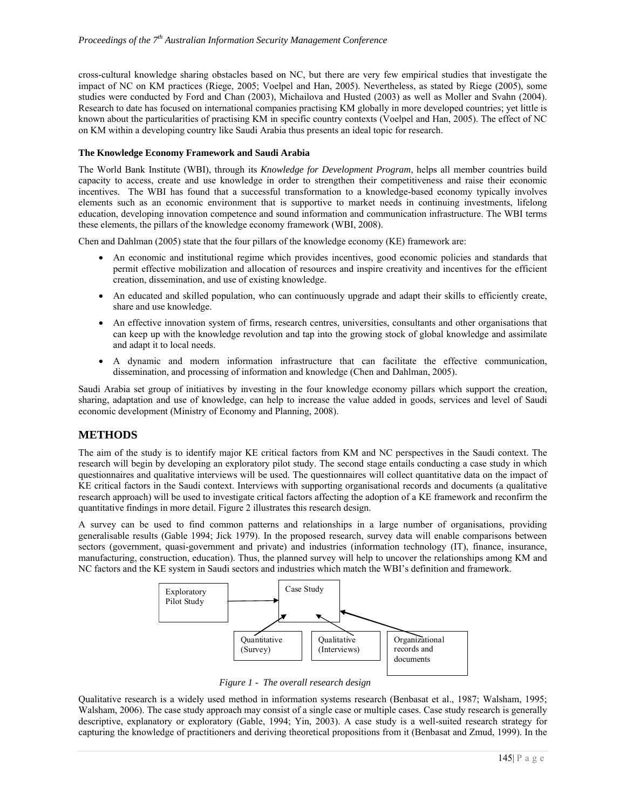cross-cultural knowledge sharing obstacles based on NC, but there are very few empirical studies that investigate the impact of NC on KM practices (Riege, 2005; Voelpel and Han, 2005). Nevertheless, as stated by Riege (2005), some studies were conducted by Ford and Chan (2003), Michailova and Husted (2003) as well as Moller and Svahn (2004). Research to date has focused on international companies practising KM globally in more developed countries; yet little is known about the particularities of practising KM in specific country contexts (Voelpel and Han, 2005). The effect of NC on KM within a developing country like Saudi Arabia thus presents an ideal topic for research.

#### **The Knowledge Economy Framework and Saudi Arabia**

The World Bank Institute (WBI), through its *Knowledge for Development Program*, helps all member countries build capacity to access, create and use knowledge in order to strengthen their competitiveness and raise their economic incentives. The WBI has found that a successful transformation to a knowledge-based economy typically involves elements such as an economic environment that is supportive to market needs in continuing investments, lifelong education, developing innovation competence and sound information and communication infrastructure. The WBI terms these elements, the pillars of the knowledge economy framework (WBI, 2008).

Chen and Dahlman (2005) state that the four pillars of the knowledge economy (KE) framework are:

- An economic and institutional regime which provides incentives, good economic policies and standards that permit effective mobilization and allocation of resources and inspire creativity and incentives for the efficient creation, dissemination, and use of existing knowledge.
- An educated and skilled population, who can continuously upgrade and adapt their skills to efficiently create, share and use knowledge.
- An effective innovation system of firms, research centres, universities, consultants and other organisations that can keep up with the knowledge revolution and tap into the growing stock of global knowledge and assimilate and adapt it to local needs.
- A dynamic and modern information infrastructure that can facilitate the effective communication, dissemination, and processing of information and knowledge (Chen and Dahlman, 2005).

Saudi Arabia set group of initiatives by investing in the four knowledge economy pillars which support the creation, sharing, adaptation and use of knowledge, can help to increase the value added in goods, services and level of Saudi economic development (Ministry of Economy and Planning, 2008).

## **METHODS**

The aim of the study is to identify major KE critical factors from KM and NC perspectives in the Saudi context. The research will begin by developing an exploratory pilot study. The second stage entails conducting a case study in which questionnaires and qualitative interviews will be used. The questionnaires will collect quantitative data on the impact of KE critical factors in the Saudi context. Interviews with supporting organisational records and documents (a qualitative research approach) will be used to investigate critical factors affecting the adoption of a KE framework and reconfirm the quantitative findings in more detail. Figure 2 illustrates this research design.

A survey can be used to find common patterns and relationships in a large number of organisations, providing generalisable results (Gable 1994; Jick 1979). In the proposed research, survey data will enable comparisons between sectors (government, quasi-government and private) and industries (information technology (IT), finance, insurance, manufacturing, construction, education). Thus, the planned survey will help to uncover the relationships among KM and NC factors and the KE system in Saudi sectors and industries which match the WBI's definition and framework.



*Figure 1 - The overall research design* 

Qualitative research is a widely used method in information systems research (Benbasat et al., 1987; Walsham, 1995; Walsham, 2006). The case study approach may consist of a single case or multiple cases. Case study research is generally descriptive, explanatory or exploratory (Gable, 1994; Yin, 2003). A case study is a well-suited research strategy for capturing the knowledge of practitioners and deriving theoretical propositions from it (Benbasat and Zmud, 1999). In the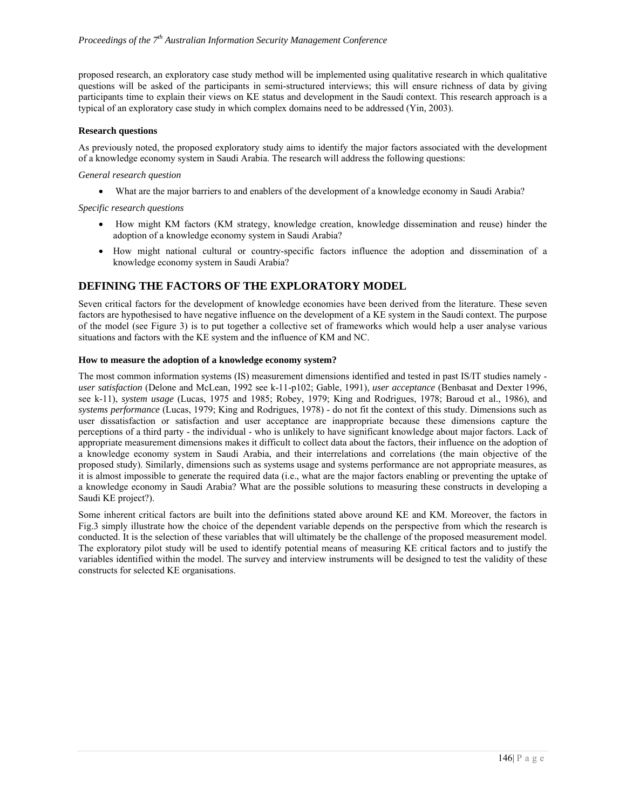proposed research, an exploratory case study method will be implemented using qualitative research in which qualitative questions will be asked of the participants in semi-structured interviews; this will ensure richness of data by giving participants time to explain their views on KE status and development in the Saudi context. This research approach is a typical of an exploratory case study in which complex domains need to be addressed (Yin, 2003).

#### **Research questions**

As previously noted, the proposed exploratory study aims to identify the major factors associated with the development of a knowledge economy system in Saudi Arabia. The research will address the following questions:

#### *General research question*

What are the major barriers to and enablers of the development of a knowledge economy in Saudi Arabia?

#### *Specific research questions*

- How might KM factors (KM strategy, knowledge creation, knowledge dissemination and reuse) hinder the adoption of a knowledge economy system in Saudi Arabia?
- How might national cultural or country-specific factors influence the adoption and dissemination of a knowledge economy system in Saudi Arabia?

## **DEFINING THE FACTORS OF THE EXPLORATORY MODEL**

Seven critical factors for the development of knowledge economies have been derived from the literature. These seven factors are hypothesised to have negative influence on the development of a KE system in the Saudi context. The purpose of the model (see Figure 3) is to put together a collective set of frameworks which would help a user analyse various situations and factors with the KE system and the influence of KM and NC.

#### **How to measure the adoption of a knowledge economy system?**

The most common information systems (IS) measurement dimensions identified and tested in past IS/IT studies namely *user satisfaction* (Delone and McLean, 1992 see k-11-p102; Gable, 1991), *user acceptance* (Benbasat and Dexter 1996, see k-11), *system usage* (Lucas, 1975 and 1985; Robey, 1979; King and Rodrigues, 1978; Baroud et al., 1986), and *systems performance* (Lucas, 1979; King and Rodrigues, 1978) - do not fit the context of this study. Dimensions such as user dissatisfaction or satisfaction and user acceptance are inappropriate because these dimensions capture the perceptions of a third party - the individual - who is unlikely to have significant knowledge about major factors. Lack of appropriate measurement dimensions makes it difficult to collect data about the factors, their influence on the adoption of a knowledge economy system in Saudi Arabia, and their interrelations and correlations (the main objective of the proposed study). Similarly, dimensions such as systems usage and systems performance are not appropriate measures, as it is almost impossible to generate the required data (i.e., what are the major factors enabling or preventing the uptake of a knowledge economy in Saudi Arabia? What are the possible solutions to measuring these constructs in developing a Saudi KE project?).

Some inherent critical factors are built into the definitions stated above around KE and KM. Moreover, the factors in Fig.3 simply illustrate how the choice of the dependent variable depends on the perspective from which the research is conducted. It is the selection of these variables that will ultimately be the challenge of the proposed measurement model. The exploratory pilot study will be used to identify potential means of measuring KE critical factors and to justify the variables identified within the model. The survey and interview instruments will be designed to test the validity of these constructs for selected KE organisations.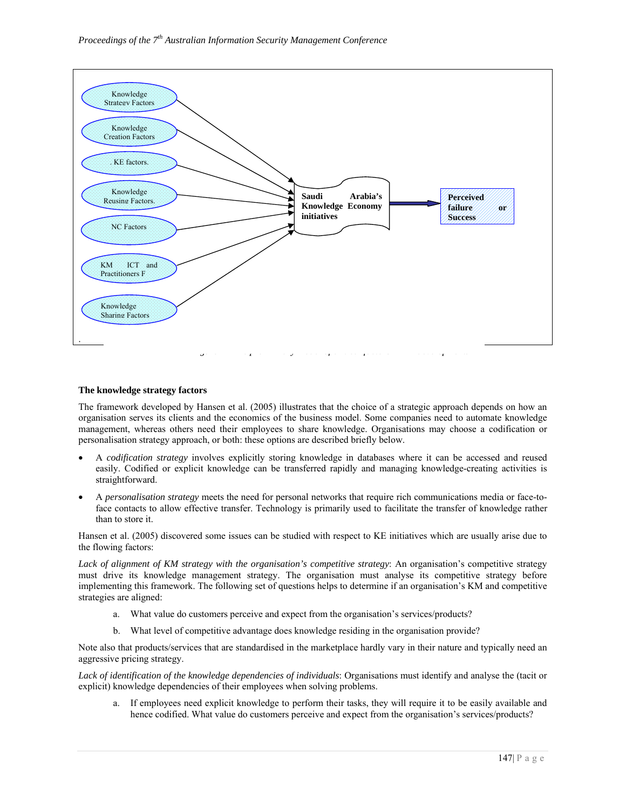

#### **The knowledge strategy factors**

The framework developed by Hansen et al. (2005) illustrates that the choice of a strategic approach depends on how an organisation serves its clients and the economics of the business model. Some companies need to automate knowledge management, whereas others need their employees to share knowledge. Organisations may choose a codification or personalisation strategy approach, or both: these options are described briefly below.

- A *codification strategy* involves explicitly storing knowledge in databases where it can be accessed and reused easily. Codified or explicit knowledge can be transferred rapidly and managing knowledge-creating activities is straightforward.
- A *personalisation strategy* meets the need for personal networks that require rich communications media or face-toface contacts to allow effective transfer. Technology is primarily used to facilitate the transfer of knowledge rather than to store it.

Hansen et al. (2005) discovered some issues can be studied with respect to KE initiatives which are usually arise due to the flowing factors:

*Lack of alignment of KM strategy with the organisation's competitive strategy*: An organisation's competitive strategy must drive its knowledge management strategy. The organisation must analyse its competitive strategy before implementing this framework. The following set of questions helps to determine if an organisation's KM and competitive strategies are aligned:

- a. What value do customers perceive and expect from the organisation's services/products?
- b. What level of competitive advantage does knowledge residing in the organisation provide?

Note also that products/services that are standardised in the marketplace hardly vary in their nature and typically need an aggressive pricing strategy.

*Lack of identification of the knowledge dependencies of individuals*: Organisations must identify and analyse the (tacit or explicit) knowledge dependencies of their employees when solving problems.

a. If employees need explicit knowledge to perform their tasks, they will require it to be easily available and hence codified. What value do customers perceive and expect from the organisation's services/products?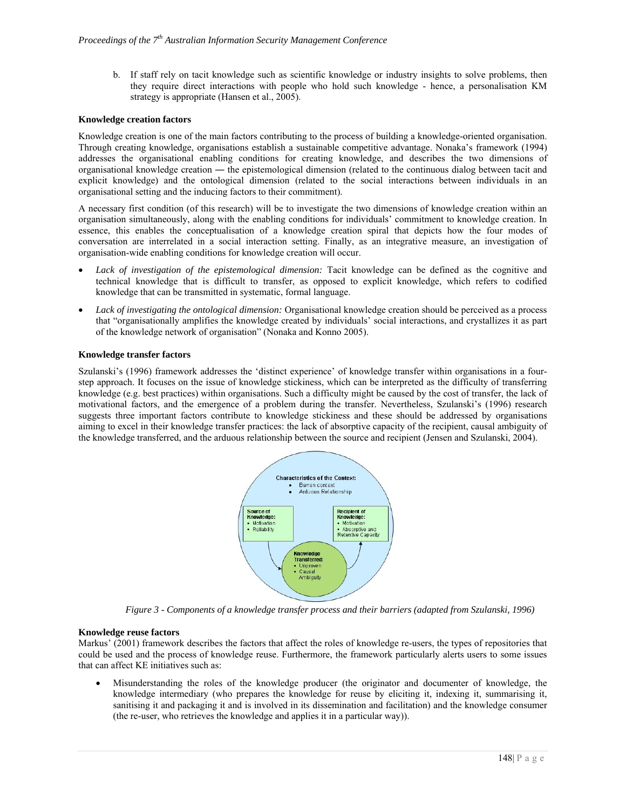b. If staff rely on tacit knowledge such as scientific knowledge or industry insights to solve problems, then they require direct interactions with people who hold such knowledge - hence, a personalisation KM strategy is appropriate (Hansen et al., 2005).

#### **Knowledge creation factors**

Knowledge creation is one of the main factors contributing to the process of building a knowledge-oriented organisation. Through creating knowledge, organisations establish a sustainable competitive advantage. Nonaka's framework (1994) addresses the organisational enabling conditions for creating knowledge, and describes the two dimensions of organisational knowledge creation ― the epistemological dimension (related to the continuous dialog between tacit and explicit knowledge) and the ontological dimension (related to the social interactions between individuals in an organisational setting and the inducing factors to their commitment).

A necessary first condition (of this research) will be to investigate the two dimensions of knowledge creation within an organisation simultaneously, along with the enabling conditions for individuals' commitment to knowledge creation. In essence, this enables the conceptualisation of a knowledge creation spiral that depicts how the four modes of conversation are interrelated in a social interaction setting. Finally, as an integrative measure, an investigation of organisation-wide enabling conditions for knowledge creation will occur.

- *Lack of investigation of the epistemological dimension:* Tacit knowledge can be defined as the cognitive and technical knowledge that is difficult to transfer, as opposed to explicit knowledge, which refers to codified knowledge that can be transmitted in systematic, formal language.
- *Lack of investigating the ontological dimension:* Organisational knowledge creation should be perceived as a process that "organisationally amplifies the knowledge created by individuals' social interactions, and crystallizes it as part of the knowledge network of organisation" (Nonaka and Konno 2005).

## **Knowledge transfer factors**

Szulanski's (1996) framework addresses the 'distinct experience' of knowledge transfer within organisations in a fourstep approach. It focuses on the issue of knowledge stickiness, which can be interpreted as the difficulty of transferring knowledge (e.g. best practices) within organisations. Such a difficulty might be caused by the cost of transfer, the lack of motivational factors, and the emergence of a problem during the transfer. Nevertheless, Szulanski's (1996) research suggests three important factors contribute to knowledge stickiness and these should be addressed by organisations aiming to excel in their knowledge transfer practices: the lack of absorptive capacity of the recipient, causal ambiguity of the knowledge transferred, and the arduous relationship between the source and recipient (Jensen and Szulanski, 2004).



*Figure 3 - Components of a knowledge transfer process and their barriers (adapted from Szulanski, 1996)* 

#### **Knowledge reuse factors**

Markus' (2001) framework describes the factors that affect the roles of knowledge re-users, the types of repositories that could be used and the process of knowledge reuse. Furthermore, the framework particularly alerts users to some issues that can affect KE initiatives such as:

 Misunderstanding the roles of the knowledge producer (the originator and documenter of knowledge, the knowledge intermediary (who prepares the knowledge for reuse by eliciting it, indexing it, summarising it, sanitising it and packaging it and is involved in its dissemination and facilitation) and the knowledge consumer (the re-user, who retrieves the knowledge and applies it in a particular way)).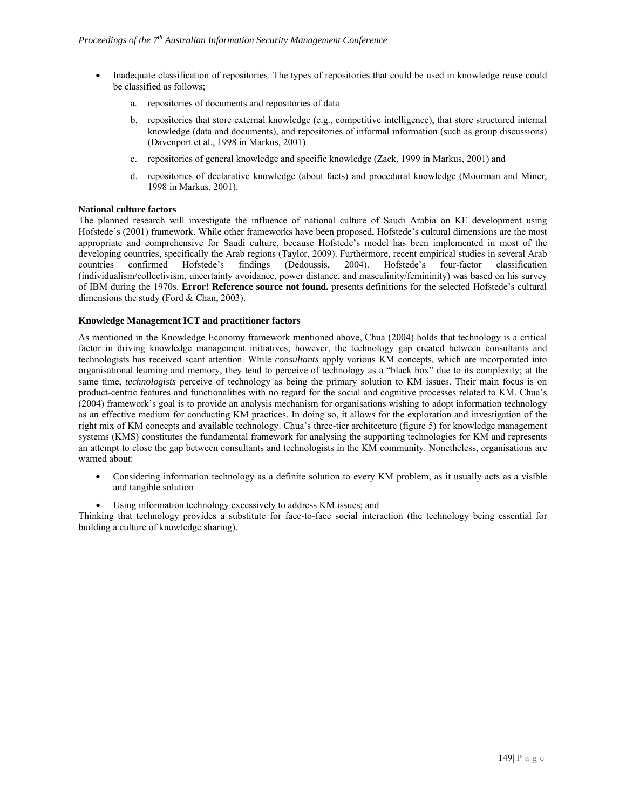- Inadequate classification of repositories. The types of repositories that could be used in knowledge reuse could be classified as follows;
	- a. repositories of documents and repositories of data
	- b. repositories that store external knowledge (e.g., competitive intelligence), that store structured internal knowledge (data and documents), and repositories of informal information (such as group discussions) (Davenport et al., 1998 in Markus, 2001)
	- c. repositories of general knowledge and specific knowledge (Zack, 1999 in Markus, 2001) and
	- d. repositories of declarative knowledge (about facts) and procedural knowledge (Moorman and Miner, 1998 in Markus, 2001).

#### **National culture factors**

The planned research will investigate the influence of national culture of Saudi Arabia on KE development using Hofstede's (2001) framework. While other frameworks have been proposed, Hofstede's cultural dimensions are the most appropriate and comprehensive for Saudi culture, because Hofstede's model has been implemented in most of the developing countries, specifically the Arab regions (Taylor, 2009). Furthermore, recent empirical studies in several Arab countries confirmed Hofstede's findings (Dedoussis, 2004). Hofstede's four-factor classification (individualism/collectivism, uncertainty avoidance, power distance, and masculinity/femininity) was based on his survey of IBM during the 1970s. **Error! Reference source not found.** presents definitions for the selected Hofstede's cultural dimensions the study (Ford & Chan, 2003).

#### **Knowledge Management ICT and practitioner factors**

As mentioned in the Knowledge Economy framework mentioned above, Chua (2004) holds that technology is a critical factor in driving knowledge management initiatives; however, the technology gap created between consultants and technologists has received scant attention. While *consultants* apply various KM concepts, which are incorporated into organisational learning and memory, they tend to perceive of technology as a "black box" due to its complexity; at the same time, *technologists* perceive of technology as being the primary solution to KM issues. Their main focus is on product-centric features and functionalities with no regard for the social and cognitive processes related to KM. Chua's (2004) framework's goal is to provide an analysis mechanism for organisations wishing to adopt information technology as an effective medium for conducting KM practices. In doing so, it allows for the exploration and investigation of the right mix of KM concepts and available technology. Chua's three-tier architecture (figure 5) for knowledge management systems (KMS) constitutes the fundamental framework for analysing the supporting technologies for KM and represents an attempt to close the gap between consultants and technologists in the KM community. Nonetheless, organisations are warned about:

- Considering information technology as a definite solution to every KM problem, as it usually acts as a visible and tangible solution
- Using information technology excessively to address KM issues; and

Thinking that technology provides a substitute for face-to-face social interaction (the technology being essential for building a culture of knowledge sharing).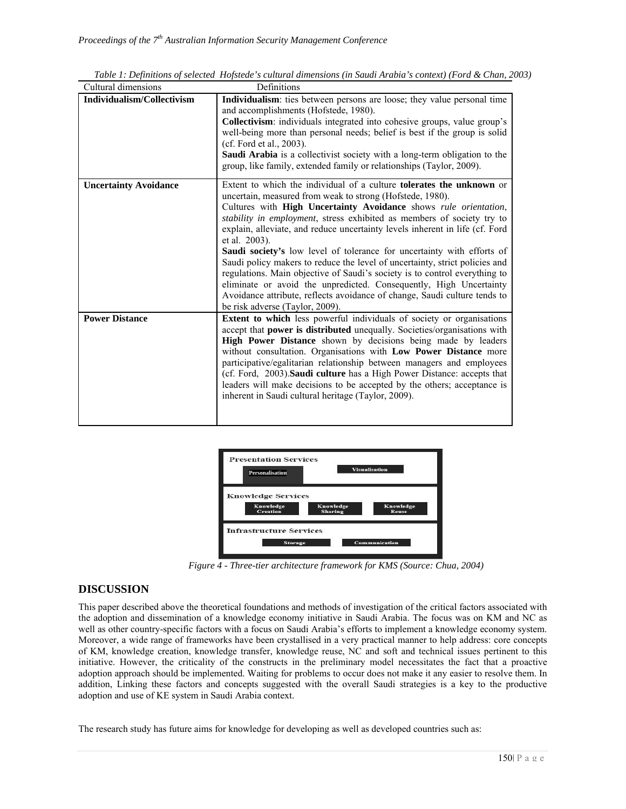| Cultural dimensions          | Definitions                                                                                                                                                                                                                                                                                                                                                                                                                                                                                                                                                                                                                                                                                                                                                                                                                 |
|------------------------------|-----------------------------------------------------------------------------------------------------------------------------------------------------------------------------------------------------------------------------------------------------------------------------------------------------------------------------------------------------------------------------------------------------------------------------------------------------------------------------------------------------------------------------------------------------------------------------------------------------------------------------------------------------------------------------------------------------------------------------------------------------------------------------------------------------------------------------|
| Individualism/Collectivism   | <b>Individualism</b> : ties between persons are loose; they value personal time<br>and accomplishments (Hofstede, 1980).<br>Collectivism: individuals integrated into cohesive groups, value group's<br>well-being more than personal needs; belief is best if the group is solid<br>(cf. Ford et al., 2003).<br>Saudi Arabia is a collectivist society with a long-term obligation to the<br>group, like family, extended family or relationships (Taylor, 2009).                                                                                                                                                                                                                                                                                                                                                          |
| <b>Uncertainty Avoidance</b> | Extent to which the individual of a culture <b>tolerates the unknown</b> or<br>uncertain, measured from weak to strong (Hofstede, 1980).<br>Cultures with High Uncertainty Avoidance shows rule orientation,<br>stability in employment, stress exhibited as members of society try to<br>explain, alleviate, and reduce uncertainty levels inherent in life (cf. Ford<br>et al. 2003).<br><b>Saudi society's</b> low level of tolerance for uncertainty with efforts of<br>Saudi policy makers to reduce the level of uncertainty, strict policies and<br>regulations. Main objective of Saudi's society is to control everything to<br>eliminate or avoid the unpredicted. Consequently, High Uncertainty<br>Avoidance attribute, reflects avoidance of change, Saudi culture tends to<br>be risk adverse (Taylor, 2009). |
| <b>Power Distance</b>        | Extent to which less powerful individuals of society or organisations<br>accept that power is distributed unequally. Societies/organisations with<br>High Power Distance shown by decisions being made by leaders<br>without consultation. Organisations with Low Power Distance more<br>participative/egalitarian relationship between managers and employees<br>(cf. Ford, 2003). Saudi culture has a High Power Distance: accepts that<br>leaders will make decisions to be accepted by the others; acceptance is<br>inherent in Saudi cultural heritage (Taylor, 2009).                                                                                                                                                                                                                                                 |

*Table 1: Definitions of selected Hofstede's cultural dimensions (in Saudi Arabia's context) (Ford & Chan, 2003)* 



 *Figure 4 - Three-tier architecture framework for KMS (Source: Chua, 2004)* 

## **DISCUSSION**

This paper described above the theoretical foundations and methods of investigation of the critical factors associated with the adoption and dissemination of a knowledge economy initiative in Saudi Arabia. The focus was on KM and NC as well as other country-specific factors with a focus on Saudi Arabia's efforts to implement a knowledge economy system. Moreover, a wide range of frameworks have been crystallised in a very practical manner to help address: core concepts of KM, knowledge creation, knowledge transfer, knowledge reuse, NC and soft and technical issues pertinent to this initiative. However, the criticality of the constructs in the preliminary model necessitates the fact that a proactive adoption approach should be implemented. Waiting for problems to occur does not make it any easier to resolve them. In addition, Linking these factors and concepts suggested with the overall Saudi strategies is a key to the productive adoption and use of KE system in Saudi Arabia context.

The research study has future aims for knowledge for developing as well as developed countries such as: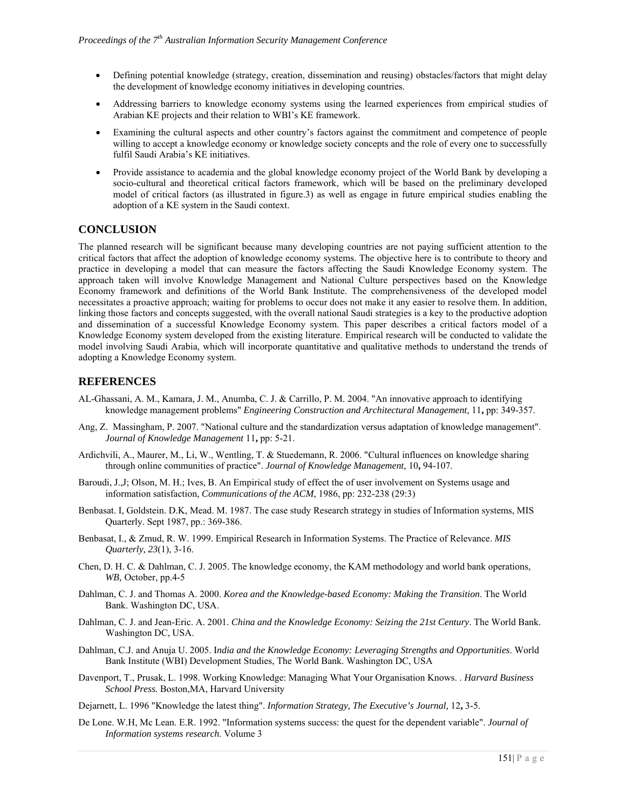- Defining potential knowledge (strategy, creation, dissemination and reusing) obstacles/factors that might delay the development of knowledge economy initiatives in developing countries.
- Addressing barriers to knowledge economy systems using the learned experiences from empirical studies of Arabian KE projects and their relation to WBI's KE framework.
- Examining the cultural aspects and other country's factors against the commitment and competence of people willing to accept a knowledge economy or knowledge society concepts and the role of every one to successfully fulfil Saudi Arabia's KE initiatives.
- Provide assistance to academia and the global knowledge economy project of the World Bank by developing a socio-cultural and theoretical critical factors framework, which will be based on the preliminary developed model of critical factors (as illustrated in figure.3) as well as engage in future empirical studies enabling the adoption of a KE system in the Saudi context.

## **CONCLUSION**

The planned research will be significant because many developing countries are not paying sufficient attention to the critical factors that affect the adoption of knowledge economy systems. The objective here is to contribute to theory and practice in developing a model that can measure the factors affecting the Saudi Knowledge Economy system. The approach taken will involve Knowledge Management and National Culture perspectives based on the Knowledge Economy framework and definitions of the World Bank Institute. The comprehensiveness of the developed model necessitates a proactive approach; waiting for problems to occur does not make it any easier to resolve them. In addition, linking those factors and concepts suggested, with the overall national Saudi strategies is a key to the productive adoption and dissemination of a successful Knowledge Economy system. This paper describes a critical factors model of a Knowledge Economy system developed from the existing literature. Empirical research will be conducted to validate the model involving Saudi Arabia, which will incorporate quantitative and qualitative methods to understand the trends of adopting a Knowledge Economy system.

## **REFERENCES**

- AL-Ghassani, A. M., Kamara, J. M., Anumba, C. J. & Carrillo, P. M. 2004. "An innovative approach to identifying knowledge management problems" *Engineering Construction and Architectural Management,* 11**,** pp: 349-357.
- Ang, Z. Massingham, P. 2007. "National culture and the standardization versus adaptation of knowledge management". *Journal of Knowledge Management* 11**,** pp: 5-21.
- Ardichvili, A., Maurer, M., Li, W., Wentling, T. & Stuedemann, R. 2006. "Cultural influences on knowledge sharing through online communities of practice". *Journal of Knowledge Management,* 10**,** 94-107.
- Baroudi, J.,J; Olson, M. H.; Ives, B. An Empirical study of effect the of user involvement on Systems usage and information satisfaction, *Communications of the ACM*, 1986, pp: 232-238 (29:3)
- Benbasat. I, Goldstein. D.K, Mead. M. 1987. The case study Research strategy in studies of Information systems, MIS Quarterly. Sept 1987, pp.: 369-386.
- Benbasat, I., & Zmud, R. W. 1999. Empirical Research in Information Systems. The Practice of Relevance. *MIS Quarterly, 23*(1), 3-16.
- Chen, D. H. C. & Dahlman, C. J. 2005. The knowledge economy, the KAM methodology and world bank operations, *WB,* October, pp.4-5
- Dahlman, C. J. and Thomas A. 2000. *Korea and the Knowledge-based Economy: Making the Transition*. The World Bank. Washington DC, USA.
- Dahlman, C. J. and Jean-Eric. A. 2001. *China and the Knowledge Economy: Seizing the 21st Century*. The World Bank. Washington DC, USA.
- Dahlman, C.J. and Anuja U. 2005. I*ndia and the Knowledge Economy: Leveraging Strengths and Opportunities*. World Bank Institute (WBI) Development Studies, The World Bank. Washington DC, USA
- Davenport, T., Prusak, L. 1998. Working Knowledge: Managing What Your Organisation Knows. . *Harvard Business School Press.* Boston,MA, Harvard University

Dejarnett, L. 1996 "Knowledge the latest thing". *Information Strategy, The Executive's Journal,* 12**,** 3-5.

De Lone. W.H, Mc Lean. E.R. 1992. "Information systems success: the quest for the dependent variable". *Journal of Information systems research*. Volume 3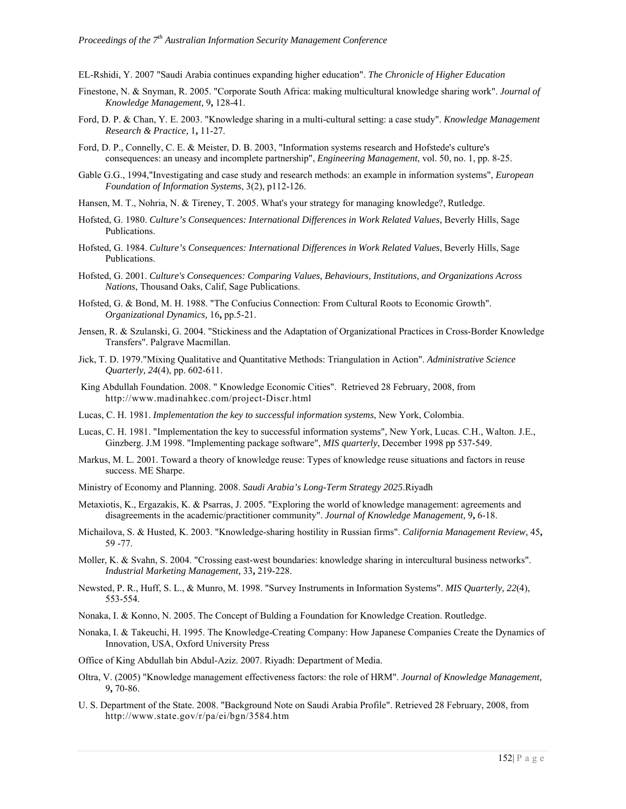EL-Rshidi, Y. 2007 "Saudi Arabia continues expanding higher education". *The Chronicle of Higher Education* 

- Finestone, N. & Snyman, R. 2005. "Corporate South Africa: making multicultural knowledge sharing work". *Journal of Knowledge Management,* 9**,** 128-41.
- Ford, D. P. & Chan, Y. E. 2003. "Knowledge sharing in a multi-cultural setting: a case study". *Knowledge Management Research & Practice,* 1**,** 11-27.
- Ford, D. P., Connelly, C. E. & Meister, D. B. 2003, "Information systems research and Hofstede's culture's consequences: an uneasy and incomplete partnership", *Engineering Management*, vol. 50, no. 1, pp. 8-25.
- Gable G.G., 1994,"Investigating and case study and research methods: an example in information systems", *European Foundation of Information Systems*, 3(2), p112-126.
- Hansen, M. T., Nohria, N. & Tireney, T. 2005. What's your strategy for managing knowledge?, Rutledge.
- Hofsted, G. 1980. *Culture's Consequences: International Differences in Work Related Values,* Beverly Hills, Sage Publications.
- Hofsted, G. 1984. *Culture's Consequences: International Differences in Work Related Values*, Beverly Hills, Sage Publications.
- Hofsted, G. 2001. *Culture's Consequences: Comparing Values, Behaviours, Institutions, and Organizations Across Nations*, Thousand Oaks, Calif, Sage Publications.
- Hofsted, G. & Bond, M. H. 1988. "The Confucius Connection: From Cultural Roots to Economic Growth". *Organizational Dynamics,* 16**,** pp.5-21.
- Jensen, R. & Szulanski, G. 2004. "Stickiness and the Adaptation of Organizational Practices in Cross-Border Knowledge Transfers". Palgrave Macmillan.
- Jick, T. D. 1979."Mixing Qualitative and Quantitative Methods: Triangulation in Action". *Administrative Science Quarterly, 24*(4), pp. 602-611.
- King Abdullah Foundation. 2008. " Knowledge Economic Cities". Retrieved 28 February, 2008, from http://www.madinahkec.com/project-Discr.html
- Lucas, C. H. 1981. *Implementation the key to successful information systems*, New York, Colombia.
- Lucas, C. H. 1981. "Implementation the key to successful information systems", New York, Lucas. C.H., Walton. J.E., Ginzberg. J.M 1998. "Implementing package software", *MIS quarterly*, December 1998 pp 537-549.
- Markus, M. L. 2001. Toward a theory of knowledge reuse: Types of knowledge reuse situations and factors in reuse success. ME Sharpe.
- Ministry of Economy and Planning. 2008. *Saudi Arabia's Long-Term Strategy 2025*.Riyadh
- Metaxiotis, K., Ergazakis, K. & Psarras, J. 2005. "Exploring the world of knowledge management: agreements and disagreements in the academic/practitioner community". *Journal of Knowledge Management,* 9**,** 6-18.
- Michailova, S. & Husted, K. 2003. "Knowledge-sharing hostility in Russian firms". *California Management Review,* 45**,** 59 -77.
- Moller, K. & Svahn, S. 2004. "Crossing east-west boundaries: knowledge sharing in intercultural business networks". *Industrial Marketing Management,* 33**,** 219-228.
- Newsted, P. R., Huff, S. L., & Munro, M. 1998. "Survey Instruments in Information Systems". *MIS Quarterly, 22*(4), 553-554.
- Nonaka, I. & Konno, N. 2005. The Concept of Bulding a Foundation for Knowledge Creation. Routledge.
- Nonaka, I. & Takeuchi, H. 1995. The Knowledge-Creating Company: How Japanese Companies Create the Dynamics of Innovation*,* USA, Oxford University Press
- Office of King Abdullah bin Abdul-Aziz. 2007. Riyadh: Department of Media.
- Oltra, V. (2005) "Knowledge management effectiveness factors: the role of HRM". *Journal of Knowledge Management,* 9**,** 70-86.
- U. S. Department of the State. 2008. "Background Note on Saudi Arabia Profile". Retrieved 28 February, 2008, from http://www.state.gov/r/pa/ei/bgn/3584.htm